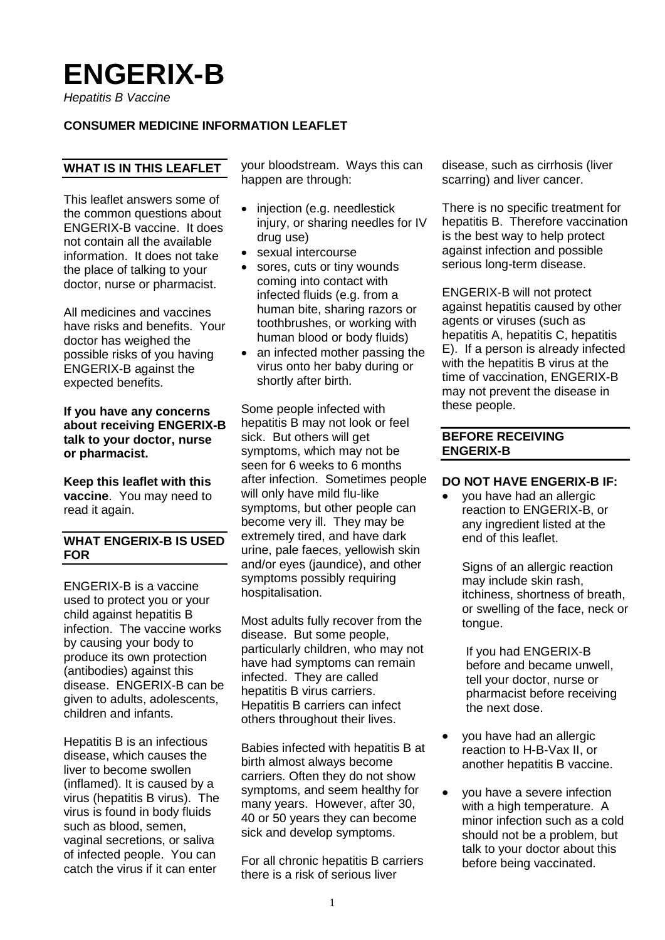# **ENGERIX-B**

*Hepatitis B Vaccine*

# **CONSUMER MEDICINE INFORMATION LEAFLET**

# **WHAT IS IN THIS LEAFLET**

This leaflet answers some of the common questions about ENGERIX-B vaccine. It does not contain all the available information. It does not take the place of talking to your doctor, nurse or pharmacist.

All medicines and vaccines have risks and benefits. Your doctor has weighed the possible risks of you having ENGERIX-B against the expected benefits.

**If you have any concerns about receiving ENGERIX-B talk to your doctor, nurse or pharmacist.**

**Keep this leaflet with this vaccine**. You may need to read it again.

# **WHAT ENGERIX-B IS USED FOR**

ENGERIX-B is a vaccine used to protect you or your child against hepatitis B infection. The vaccine works by causing your body to produce its own protection (antibodies) against this disease. ENGERIX-B can be given to adults, adolescents, children and infants.

Hepatitis B is an infectious disease, which causes the liver to become swollen (inflamed). It is caused by a virus (hepatitis B virus). The virus is found in body fluids such as blood, semen, vaginal secretions, or saliva of infected people. You can catch the virus if it can enter

your bloodstream. Ways this can happen are through:

- injection (e.g. needlestick injury, or sharing needles for IV drug use)
- sexual intercourse
- sores, cuts or tiny wounds coming into contact with infected fluids (e.g. from a human bite, sharing razors or toothbrushes, or working with human blood or body fluids)
- an infected mother passing the virus onto her baby during or shortly after birth.

Some people infected with hepatitis B may not look or feel sick. But others will get symptoms, which may not be seen for 6 weeks to 6 months after infection. Sometimes people will only have mild flu-like symptoms, but other people can become very ill. They may be extremely tired, and have dark urine, pale faeces, yellowish skin and/or eyes (jaundice), and other symptoms possibly requiring hospitalisation.

Most adults fully recover from the disease. But some people, particularly children, who may not have had symptoms can remain infected. They are called hepatitis B virus carriers. Hepatitis B carriers can infect others throughout their lives.

Babies infected with hepatitis B at birth almost always become carriers. Often they do not show symptoms, and seem healthy for many years. However, after 30, 40 or 50 years they can become sick and develop symptoms.

For all chronic hepatitis B carriers there is a risk of serious liver

disease, such as cirrhosis (liver scarring) and liver cancer.

There is no specific treatment for hepatitis B. Therefore vaccination is the best way to help protect against infection and possible serious long-term disease.

ENGERIX-B will not protect against hepatitis caused by other agents or viruses (such as hepatitis A, hepatitis C, hepatitis E). If a person is already infected with the hepatitis B virus at the time of vaccination, ENGERIX-B may not prevent the disease in these people.

#### **BEFORE RECEIVING ENGERIX-B**

#### **DO NOT HAVE ENGERIX-B IF:**

• you have had an allergic reaction to ENGERIX-B, or any ingredient listed at the end of this leaflet.

Signs of an allergic reaction may include skin rash, itchiness, shortness of breath, or swelling of the face, neck or tongue.

If you had ENGERIX-B before and became unwell, tell your doctor, nurse or pharmacist before receiving the next dose.

- you have had an allergic reaction to H-B-Vax II, or another hepatitis B vaccine.
- vou have a severe infection with a high temperature. A minor infection such as a cold should not be a problem, but talk to your doctor about this before being vaccinated.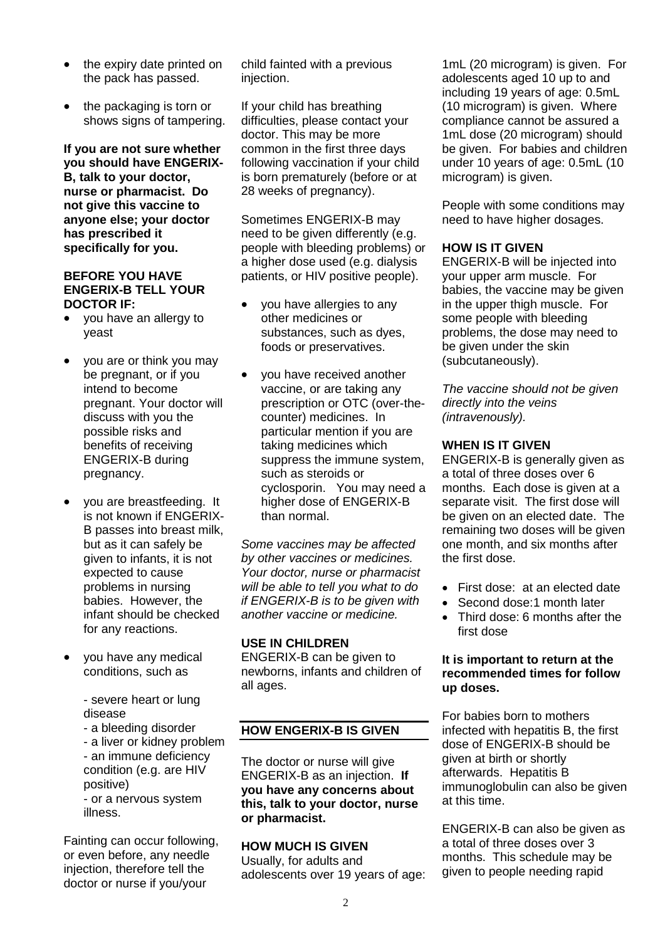- the expiry date printed on the pack has passed.
- the packaging is torn or shows signs of tampering.

**If you are not sure whether you should have ENGERIX-B, talk to your doctor, nurse or pharmacist. Do not give this vaccine to anyone else; your doctor has prescribed it specifically for you.**

#### **BEFORE YOU HAVE ENGERIX-B TELL YOUR DOCTOR IF:**

- you have an allergy to yeast
- you are or think you may be pregnant, or if you intend to become pregnant. Your doctor will discuss with you the possible risks and benefits of receiving ENGERIX-B during pregnancy.
- you are breastfeeding. It is not known if ENGERIX-B passes into breast milk, but as it can safely be given to infants, it is not expected to cause problems in nursing babies. However, the infant should be checked for any reactions.
- you have any medical conditions, such as

- severe heart or lung disease

- a bleeding disorder

- a liver or kidney problem - an immune deficiency condition (e.g. are HIV positive)

- or a nervous system illness.

Fainting can occur following, or even before, any needle injection, therefore tell the doctor or nurse if you/your

child fainted with a previous injection.

If your child has breathing difficulties, please contact your doctor. This may be more common in the first three days following vaccination if your child is born prematurely (before or at 28 weeks of pregnancy).

Sometimes ENGERIX-B may need to be given differently (e.g. people with bleeding problems) or a higher dose used (e.g. dialysis patients, or HIV positive people).

- you have allergies to any other medicines or substances, such as dyes, foods or preservatives.
- you have received another vaccine, or are taking any prescription or OTC (over-thecounter) medicines. In particular mention if you are taking medicines which suppress the immune system, such as steroids or cyclosporin. You may need a higher dose of ENGERIX-B than normal.

*Some vaccines may be affected by other vaccines or medicines. Your doctor, nurse or pharmacist will be able to tell you what to do if ENGERIX-B is to be given with another vaccine or medicine.*

# **USE IN CHILDREN**

ENGERIX-B can be given to newborns, infants and children of all ages.

# **HOW ENGERIX-B IS GIVEN**

The doctor or nurse will give ENGERIX-B as an injection. **If you have any concerns about this, talk to your doctor, nurse or pharmacist.**

# **HOW MUCH IS GIVEN**

Usually, for adults and adolescents over 19 years of age:

1mL (20 microgram) is given. For adolescents aged 10 up to and including 19 years of age: 0.5mL (10 microgram) is given. Where compliance cannot be assured a 1mL dose (20 microgram) should be given. For babies and children under 10 years of age: 0.5mL (10 microgram) is given.

People with some conditions may need to have higher dosages.

# **HOW IS IT GIVEN**

ENGERIX-B will be injected into your upper arm muscle. For babies, the vaccine may be given in the upper thigh muscle. For some people with bleeding problems, the dose may need to be given under the skin (subcutaneously).

*The vaccine should not be given directly into the veins (intravenously).*

# **WHEN IS IT GIVEN**

ENGERIX-B is generally given as a total of three doses over 6 months. Each dose is given at a separate visit. The first dose will be given on an elected date. The remaining two doses will be given one month, and six months after the first dose.

- First dose: at an elected date
- Second dose:1 month later
- Third dose: 6 months after the first dose

#### **It is important to return at the recommended times for follow up doses.**

For babies born to mothers infected with hepatitis B, the first dose of ENGERIX-B should be given at birth or shortly afterwards. Hepatitis B immunoglobulin can also be given at this time.

ENGERIX-B can also be given as a total of three doses over 3 months. This schedule may be given to people needing rapid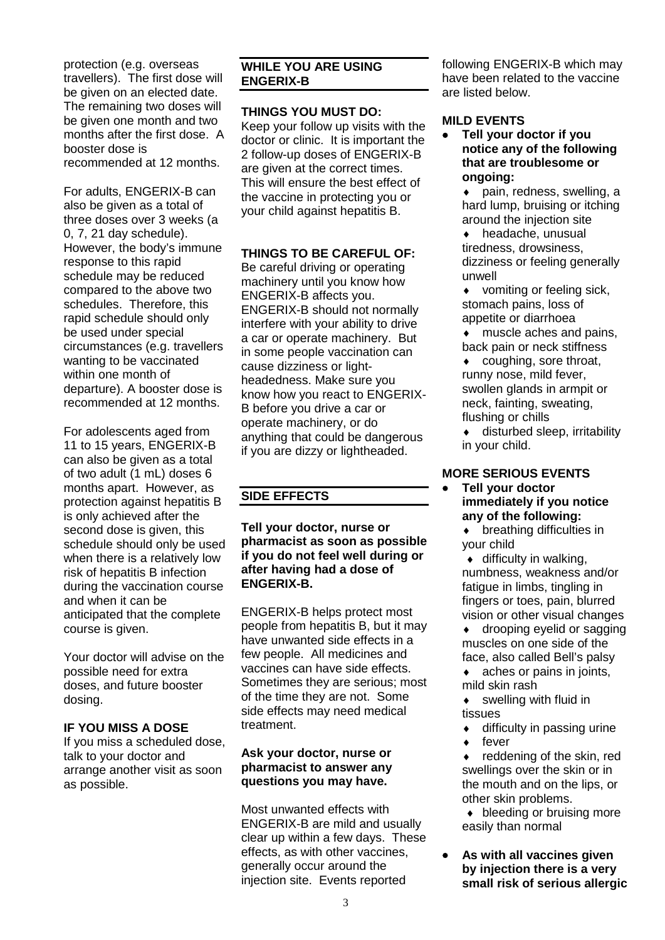protection (e.g. overseas travellers). The first dose will be given on an elected date. The remaining two doses will be given one month and two months after the first dose. A booster dose is recommended at 12 months.

For adults, ENGERIX-B can also be given as a total of three doses over 3 weeks (a 0, 7, 21 day schedule). However, the body's immune response to this rapid schedule may be reduced compared to the above two schedules. Therefore, this rapid schedule should only be used under special circumstances (e.g. travellers wanting to be vaccinated within one month of departure). A booster dose is recommended at 12 months.

For adolescents aged from 11 to 15 years, ENGERIX-B can also be given as a total of two adult (1 mL) doses 6 months apart. However, as protection against hepatitis B is only achieved after the second dose is given, this schedule should only be used when there is a relatively low risk of hepatitis B infection during the vaccination course and when it can be anticipated that the complete course is given.

Your doctor will advise on the possible need for extra doses, and future booster dosing.

# **IF YOU MISS A DOSE**

If you miss a scheduled dose, talk to your doctor and arrange another visit as soon as possible.

# **WHILE YOU ARE USING ENGERIX-B**

## **THINGS YOU MUST DO:**

Keep your follow up visits with the doctor or clinic. It is important the 2 follow-up doses of ENGERIX-B are given at the correct times. This will ensure the best effect of the vaccine in protecting you or your child against hepatitis B.

#### **THINGS TO BE CAREFUL OF:**

Be careful driving or operating machinery until you know how ENGERIX-B affects you. ENGERIX-B should not normally interfere with your ability to drive a car or operate machinery. But in some people vaccination can cause dizziness or lightheadedness. Make sure you know how you react to ENGERIX-B before you drive a car or operate machinery, or do anything that could be dangerous if you are dizzy or lightheaded.

# **SIDE EFFECTS**

**Tell your doctor, nurse or pharmacist as soon as possible if you do not feel well during or after having had a dose of ENGERIX-B.** 

ENGERIX-B helps protect most people from hepatitis B, but it may have unwanted side effects in a few people. All medicines and vaccines can have side effects. Sometimes they are serious; most of the time they are not. Some side effects may need medical treatment.

# **Ask your doctor, nurse or pharmacist to answer any questions you may have.**

Most unwanted effects with ENGERIX-B are mild and usually clear up within a few days. These effects, as with other vaccines, generally occur around the injection site. Events reported

following ENGERIX-B which may have been related to the vaccine are listed below.

# **MILD EVENTS**

• **Tell your doctor if you notice any of the following that are troublesome or ongoing:**

 $\bullet$  pain, redness, swelling, a hard lump, bruising or itching around the injection site

♦ headache, unusual tiredness, drowsiness, dizziness or feeling generally unwell

♦ vomiting or feeling sick, stomach pains, loss of appetite or diarrhoea

- ♦ muscle aches and pains, back pain or neck stiffness
- coughing, sore throat, runny nose, mild fever, swollen glands in armpit or neck, fainting, sweating, flushing or chills
- $\bullet$  disturbed sleep, irritability in your child.

# **MORE SERIOUS EVENTS**

#### • **Tell your doctor immediately if you notice any of the following:**

♦ breathing difficulties in your child

 $\bullet$  difficulty in walking, numbness, weakness and/or fatigue in limbs, tingling in fingers or toes, pain, blurred vision or other visual changes

♦ drooping eyelid or sagging muscles on one side of the face, also called Bell's palsy

 $\bullet$  aches or pains in joints, mild skin rash

- ♦ swelling with fluid in tissues
- $\bullet$  difficulty in passing urine
- ♦ fever

♦ reddening of the skin, red swellings over the skin or in the mouth and on the lips, or other skin problems.

♦ bleeding or bruising more easily than normal

• **As with all vaccines given by injection there is a very small risk of serious allergic**